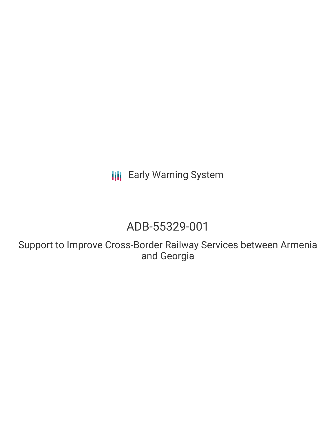**III** Early Warning System

# ADB-55329-001

Support to Improve Cross-Border Railway Services between Armenia and Georgia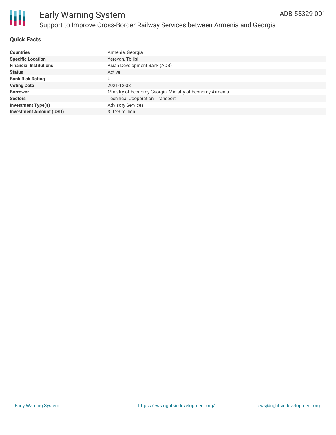

#### **Quick Facts**

| <b>Countries</b>               | Armenia, Georgia                                         |
|--------------------------------|----------------------------------------------------------|
| <b>Specific Location</b>       | Yerevan, Tbilisi                                         |
| <b>Financial Institutions</b>  | Asian Development Bank (ADB)                             |
| <b>Status</b>                  | Active                                                   |
| <b>Bank Risk Rating</b>        |                                                          |
| <b>Voting Date</b>             | 2021-12-08                                               |
| <b>Borrower</b>                | Ministry of Economy Georgia, Ministry of Economy Armenia |
| <b>Sectors</b>                 | <b>Technical Cooperation, Transport</b>                  |
| <b>Investment Type(s)</b>      | <b>Advisory Services</b>                                 |
| <b>Investment Amount (USD)</b> | $$0.23$ million                                          |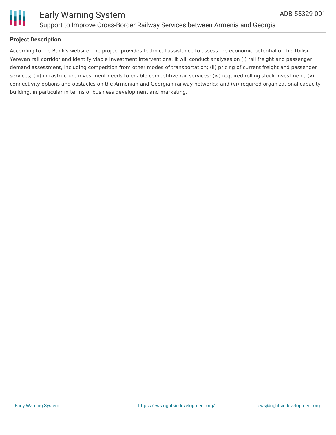



#### **Project Description**

According to the Bank's website, the project provides technical assistance to assess the economic potential of the Tbilisi-Yerevan rail corridor and identify viable investment interventions. It will conduct analyses on (i) rail freight and passenger demand assessment, including competition from other modes of transportation; (ii) pricing of current freight and passenger services; (iii) infrastructure investment needs to enable competitive rail services; (iv) required rolling stock investment; (v) connectivity options and obstacles on the Armenian and Georgian railway networks; and (vi) required organizational capacity building, in particular in terms of business development and marketing.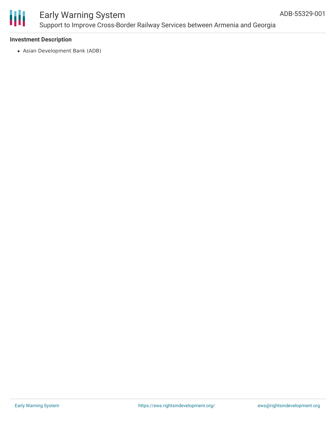

### Early Warning System Support to Improve Cross-Border Railway Services between Armenia and Georgia

#### **Investment Description**

Asian Development Bank (ADB)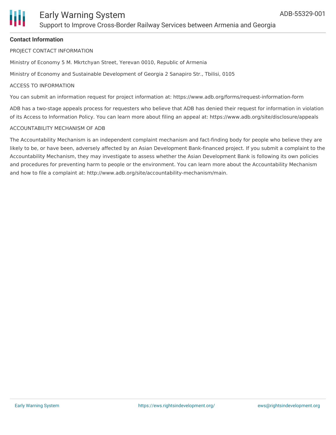

#### **Contact Information**

PROJECT CONTACT INFORMATION

Ministry of Economy 5 M. Mkrtchyan Street, Yerevan 0010, Republic of Armenia

Ministry of Economy and Sustainable Development of Georgia 2 Sanapiro Str., Tbilisi, 0105

#### ACCESS TO INFORMATION

You can submit an information request for project information at: https://www.adb.org/forms/request-information-form

ADB has a two-stage appeals process for requesters who believe that ADB has denied their request for information in violation of its Access to Information Policy. You can learn more about filing an appeal at: https://www.adb.org/site/disclosure/appeals

#### ACCOUNTABILITY MECHANISM OF ADB

The Accountability Mechanism is an independent complaint mechanism and fact-finding body for people who believe they are likely to be, or have been, adversely affected by an Asian Development Bank-financed project. If you submit a complaint to the Accountability Mechanism, they may investigate to assess whether the Asian Development Bank is following its own policies and procedures for preventing harm to people or the environment. You can learn more about the Accountability Mechanism and how to file a complaint at: http://www.adb.org/site/accountability-mechanism/main.